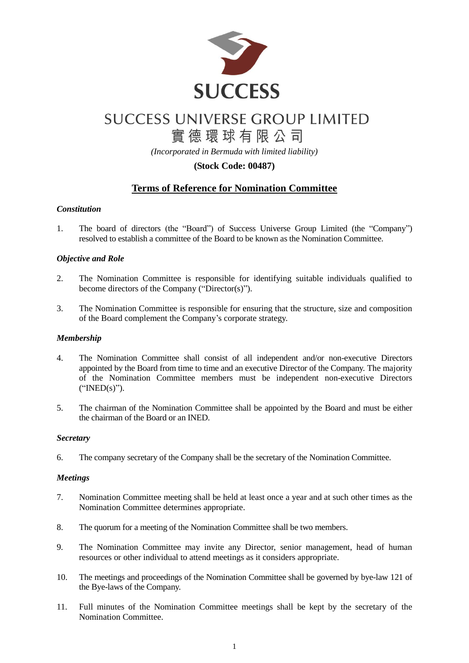

# **SUCCESS UNIVERSE GROUP LIMITED** 實德環球有限公司

*(Incorporated in Bermuda with limited liability)*

### **(Stock Code: 00487)**

## **Terms of Reference for Nomination Committee**

#### *Constitution*

1. The board of directors (the "Board") of Success Universe Group Limited (the "Company") resolved to establish a committee of the Board to be known as the Nomination Committee.

#### *Objective and Role*

- 2. The Nomination Committee is responsible for identifying suitable individuals qualified to become directors of the Company ("Director(s)").
- 3. The Nomination Committee is responsible for ensuring that the structure, size and composition of the Board complement the Company's corporate strategy.

#### *Membership*

- 4. The Nomination Committee shall consist of all independent and/or non-executive Directors appointed by the Board from time to time and an executive Director of the Company. The majority of the Nomination Committee members must be independent non-executive Directors ("INED(s)").
- 5. The chairman of the Nomination Committee shall be appointed by the Board and must be either the chairman of the Board or an INED.

#### *Secretary*

6. The company secretary of the Company shall be the secretary of the Nomination Committee.

#### *Meetings*

- 7. Nomination Committee meeting shall be held at least once a year and at such other times as the Nomination Committee determines appropriate.
- 8. The quorum for a meeting of the Nomination Committee shall be two members.
- 9. The Nomination Committee may invite any Director, senior management, head of human resources or other individual to attend meetings as it considers appropriate.
- 10. The meetings and proceedings of the Nomination Committee shall be governed by bye-law 121 of the Bye-laws of the Company.
- 11. Full minutes of the Nomination Committee meetings shall be kept by the secretary of the Nomination Committee.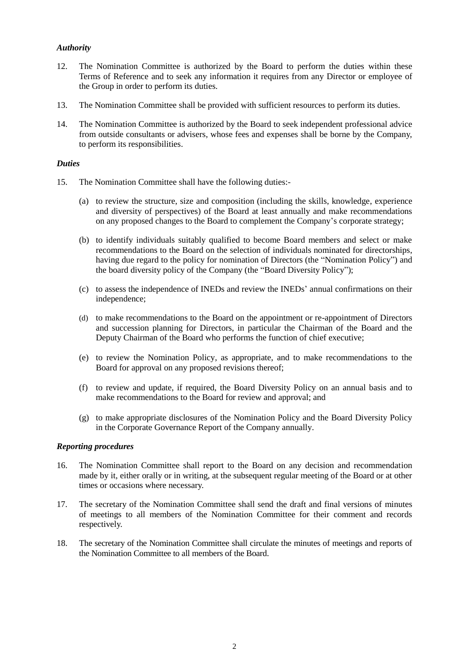#### *Authority*

- 12. The Nomination Committee is authorized by the Board to perform the duties within these Terms of Reference and to seek any information it requires from any Director or employee of the Group in order to perform its duties.
- 13. The Nomination Committee shall be provided with sufficient resources to perform its duties.
- 14. The Nomination Committee is authorized by the Board to seek independent professional advice from outside consultants or advisers, whose fees and expenses shall be borne by the Company, to perform its responsibilities.

#### *Duties*

- 15. The Nomination Committee shall have the following duties:-
	- (a) to review the structure, size and composition (including the skills, knowledge, experience and diversity of perspectives) of the Board at least annually and make recommendations on any proposed changes to the Board to complement the Company's corporate strategy;
	- (b) to identify individuals suitably qualified to become Board members and select or make recommendations to the Board on the selection of individuals nominated for directorships, having due regard to the policy for nomination of Directors (the "Nomination Policy") and the board diversity policy of the Company (the "Board Diversity Policy");
	- (c) to assess the independence of INEDs and review the INEDs' annual confirmations on their independence;
	- (d) to make recommendations to the Board on the appointment or re-appointment of Directors and succession planning for Directors, in particular the Chairman of the Board and the Deputy Chairman of the Board who performs the function of chief executive;
	- (e) to review the Nomination Policy, as appropriate, and to make recommendations to the Board for approval on any proposed revisions thereof;
	- (f) to review and update, if required, the Board Diversity Policy on an annual basis and to make recommendations to the Board for review and approval; and
	- (g) to make appropriate disclosures of the Nomination Policy and the Board Diversity Policy in the Corporate Governance Report of the Company annually.

#### *Reporting procedures*

- 16. The Nomination Committee shall report to the Board on any decision and recommendation made by it, either orally or in writing, at the subsequent regular meeting of the Board or at other times or occasions where necessary.
- 17. The secretary of the Nomination Committee shall send the draft and final versions of minutes of meetings to all members of the Nomination Committee for their comment and records respectively.
- 18. The secretary of the Nomination Committee shall circulate the minutes of meetings and reports of the Nomination Committee to all members of the Board.